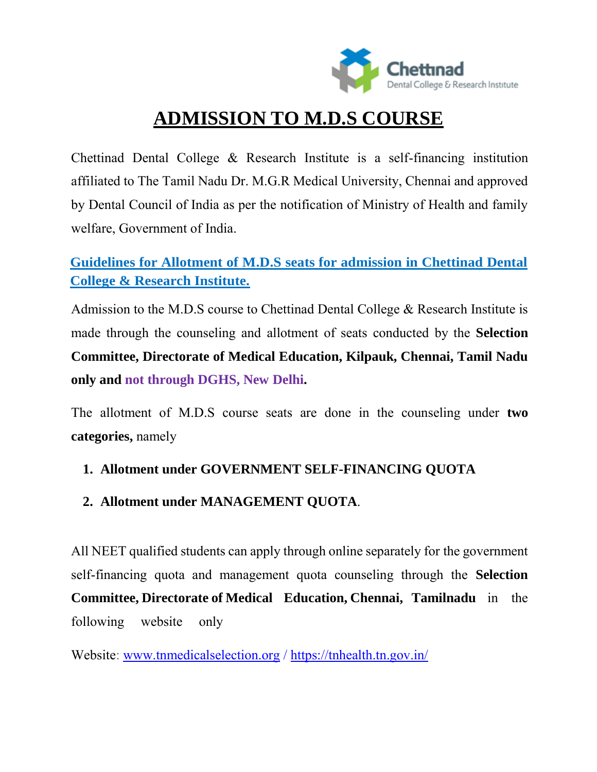

# **ADMISSION TO M.D.S COURSE**

Chettinad Dental College & Research Institute is a self-financing institution affiliated to The Tamil Nadu Dr. M.G.R Medical University, Chennai and approved by Dental Council of India as per the notification of Ministry of Health and family welfare, Government of India.

## **Guidelines for Allotment of M.D.S seats for admission in Chettinad Dental College & Research Institute.**

Admission to the M.D.S course to Chettinad Dental College & Research Institute is made through the counseling and allotment of seats conducted by the **Selection Committee, Directorate of Medical Education, Kilpauk, Chennai, Tamil Nadu only and not through DGHS, New Delhi.**

The allotment of M.D.S course seats are done in the counseling under **two categories,** namely

#### **1. Allotment under GOVERNMENT SELF-FINANCING QUOTA**

#### **2. Allotment under MANAGEMENT QUOTA**.

All NEET qualified students can apply through online separately for the government self-financing quota and management quota counseling through the **Selection Committee, Directorate of Medical Education, Chennai, Tamilnadu** in the following website only

Website: www.tnmedicalselection.org / <https://tnhealth.tn.gov.in/>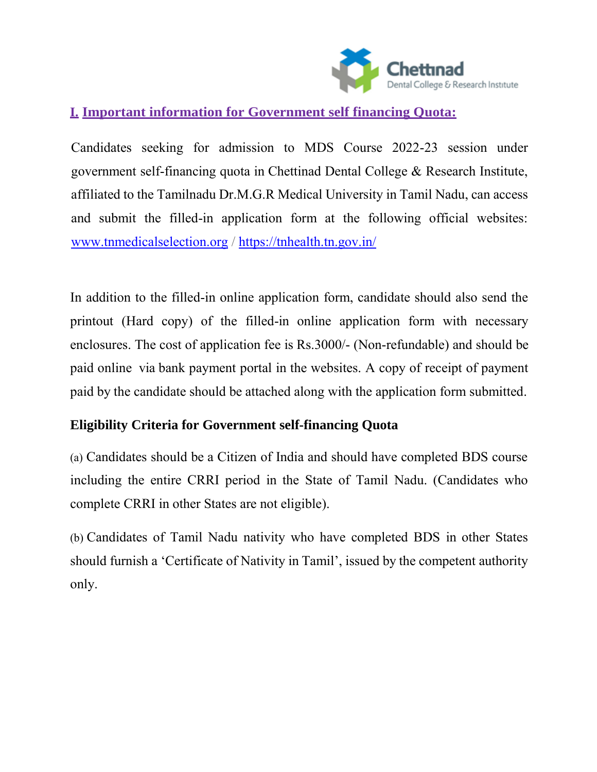

## **I. Important information for Government self financing Quota:**

Candidates seeking for admission to MDS Course 2022-23 session under government self-financing quota in Chettinad Dental College & Research Institute, affiliated to the Tamilnadu Dr.M.G.R Medical University in Tamil Nadu, can access and submit the filled-in application form at the following official websites: [www.tnmedicalselection.org](http://www.tnmedicalselection.org/) /<https://tnhealth.tn.gov.in/>

In addition to the filled-in online application form, candidate should also send the printout (Hard copy) of the filled-in online application form with necessary enclosures. The cost of application fee is Rs.3000/- (Non-refundable) and should be paid online via bank payment portal in the websites. A copy of receipt of payment paid by the candidate should be attached along with the application form submitted.

#### **Eligibility Criteria for Government self-financing Quota**

(a) Candidates should be a Citizen of India and should have completed BDS course including the entire CRRI period in the State of Tamil Nadu. (Candidates who complete CRRI in other States are not eligible).

(b) Candidates of Tamil Nadu nativity who have completed BDS in other States should furnish a 'Certificate of Nativity in Tamil', issued by the competent authority only.